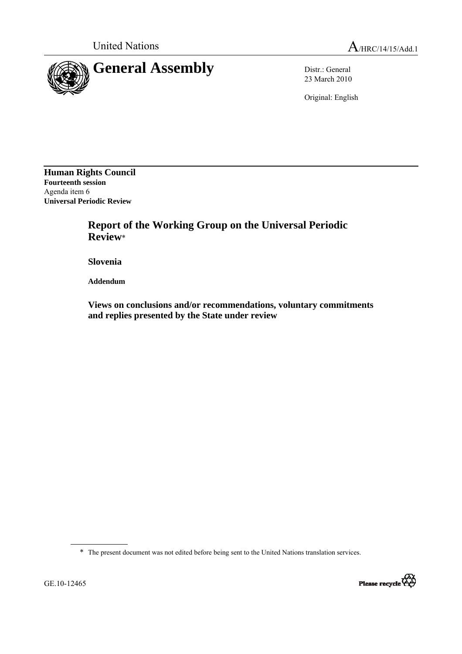

23 March 2010

Original: English

**Human Rights Council Fourteenth session**  Agenda item 6 **Universal Periodic Review** 

> **Report of the Working Group on the Universal Periodic Review**\*

 **Slovenia** 

 **Addendum** 

 **Views on conclusions and/or recommendations, voluntary commitments and replies presented by the State under review** 

\* The present document was not edited before being sent to the United Nations translation services.

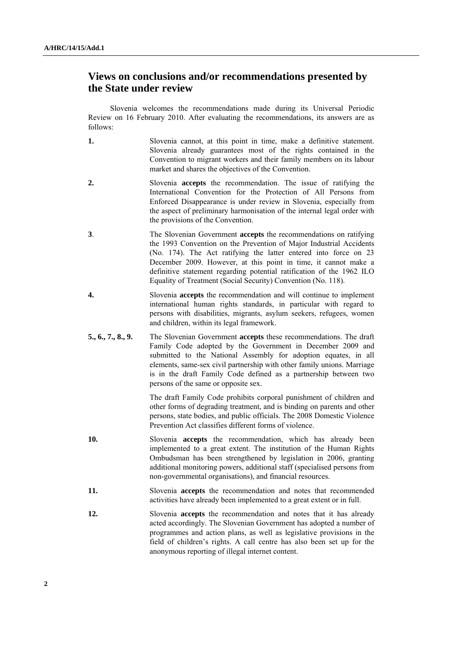## **Views on conclusions and/or recommendations presented by the State under review**

Slovenia welcomes the recommendations made during its Universal Periodic Review on 16 February 2010. After evaluating the recommendations, its answers are as follows:

- **1.** Slovenia cannot, at this point in time, make a definitive statement. Slovenia already guarantees most of the rights contained in the Convention to migrant workers and their family members on its labour market and shares the objectives of the Convention.
- **2.** Slovenia **accepts** the recommendation. The issue of ratifying the International Convention for the Protection of All Persons from Enforced Disappearance is under review in Slovenia, especially from the aspect of preliminary harmonisation of the internal legal order with the provisions of the Convention.
- **3**. The Slovenian Government **accepts** the recommendations on ratifying the 1993 Convention on the Prevention of Major Industrial Accidents (No. 174). The Act ratifying the latter entered into force on 23 December 2009. However, at this point in time, it cannot make a definitive statement regarding potential ratification of the 1962 ILO Equality of Treatment (Social Security) Convention (No. 118).
- **4.** Slovenia **accepts** the recommendation and will continue to implement international human rights standards, in particular with regard to persons with disabilities, migrants, asylum seekers, refugees, women and children, within its legal framework.
- **5., 6., 7., 8., 9.** The Slovenian Government **accepts** these recommendations. The draft Family Code adopted by the Government in December 2009 and submitted to the National Assembly for adoption equates, in all elements, same-sex civil partnership with other family unions. Marriage is in the draft Family Code defined as a partnership between two persons of the same or opposite sex.

 The draft Family Code prohibits corporal punishment of children and other forms of degrading treatment, and is binding on parents and other persons, state bodies, and public officials. The 2008 Domestic Violence Prevention Act classifies different forms of violence.

- **10.** Slovenia **accepts** the recommendation, which has already been implemented to a great extent. The institution of the Human Rights Ombudsman has been strengthened by legislation in 2006, granting additional monitoring powers, additional staff (specialised persons from non-governmental organisations), and financial resources.
- **11.** Slovenia **accepts** the recommendation and notes that recommended activities have already been implemented to a great extent or in full.
- **12.** Slovenia **accepts** the recommendation and notes that it has already acted accordingly. The Slovenian Government has adopted a number of programmes and action plans, as well as legislative provisions in the field of children's rights. A call centre has also been set up for the anonymous reporting of illegal internet content.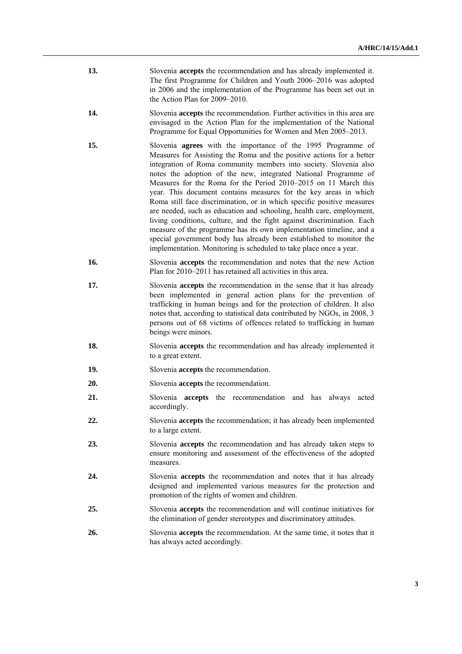| 13. | Slovenia <b>accepts</b> the recommendation and has already implemented it. |
|-----|----------------------------------------------------------------------------|
|     | The first Programme for Children and Youth 2006–2016 was adopted           |
|     | in 2006 and the implementation of the Programme has been set out in        |
|     | the Action Plan for $2009-2010$ .                                          |

- **14.** Slovenia **accepts** the recommendation. Further activities in this area are envisaged in the Action Plan for the implementation of the National Programme for Equal Opportunities for Women and Men 2005–2013.
- **15.** Slovenia **agrees** with the importance of the 1995 Programme of Measures for Assisting the Roma and the positive actions for a better integration of Roma community members into society. Slovenia also notes the adoption of the new, integrated National Programme of Measures for the Roma for the Period 2010–2015 on 11 March this year. This document contains measures for the key areas in which Roma still face discrimination, or in which specific positive measures are needed, such as education and schooling, health care, employment, living conditions, culture, and the fight against discrimination. Each measure of the programme has its own implementation timeline, and a special government body has already been established to monitor the implementation. Monitoring is scheduled to take place once a year.
- **16.** Slovenia **accepts** the recommendation and notes that the new Action Plan for 2010–2011 has retained all activities in this area.
- **17.** Slovenia **accepts** the recommendation in the sense that it has already been implemented in general action plans for the prevention of trafficking in human beings and for the protection of children. It also notes that, according to statistical data contributed by NGOs, in 2008, 3 persons out of 68 victims of offences related to trafficking in human beings were minors.
- **18.** Slovenia **accepts** the recommendation and has already implemented it to a great extent.
- **19.** Slovenia **accepts** the recommendation.
- **20.** Slovenia **accepts** the recommendation.
- **21.** Slovenia **accepts** the recommendation and has always acted accordingly.
- **22.** Slovenia **accepts** the recommendation; it has already been implemented to a large extent.
- **23.** Slovenia **accepts** the recommendation and has already taken steps to ensure monitoring and assessment of the effectiveness of the adopted measures.
- **24.** Slovenia **accepts** the recommendation and notes that it has already designed and implemented various measures for the protection and promotion of the rights of women and children.
- **25.** Slovenia **accepts** the recommendation and will continue initiatives for the elimination of gender stereotypes and discriminatory attitudes.
- **26.** Slovenia **accepts** the recommendation. At the same time, it notes that it has always acted accordingly.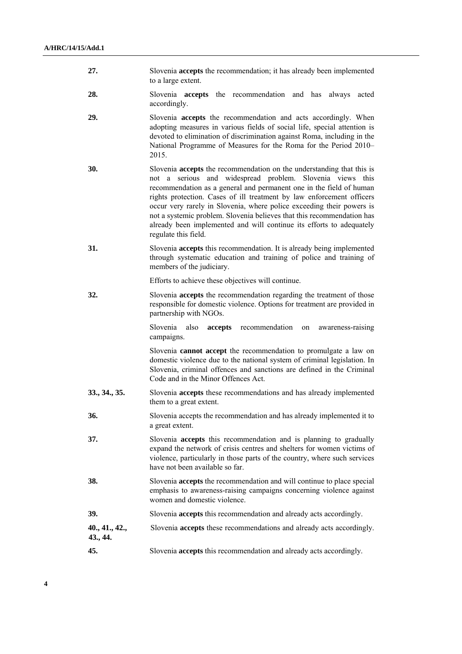- **27.** Slovenia **accepts** the recommendation; it has already been implemented to a large extent.
- **28.** Slovenia **accepts** the recommendation and has always acted accordingly.
- **29.** Slovenia **accepts** the recommendation and acts accordingly. When adopting measures in various fields of social life, special attention is devoted to elimination of discrimination against Roma, including in the National Programme of Measures for the Roma for the Period 2010– 2015.
- **30.** Slovenia **accepts** the recommendation on the understanding that this is not a serious and widespread problem. Slovenia views this recommendation as a general and permanent one in the field of human rights protection. Cases of ill treatment by law enforcement officers occur very rarely in Slovenia, where police exceeding their powers is not a systemic problem. Slovenia believes that this recommendation has already been implemented and will continue its efforts to adequately regulate this field.
- **31.** Slovenia **accepts** this recommendation. It is already being implemented through systematic education and training of police and training of members of the judiciary.

Efforts to achieve these objectives will continue.

**32.** Slovenia **accepts** the recommendation regarding the treatment of those responsible for domestic violence. Options for treatment are provided in partnership with NGOs.

> Slovenia also **accepts** recommendation on awareness-raising campaigns.

> Slovenia **cannot accept** the recommendation to promulgate a law on domestic violence due to the national system of criminal legislation. In Slovenia, criminal offences and sanctions are defined in the Criminal Code and in the Minor Offences Act.

- **33., 34., 35.** Slovenia **accepts** these recommendations and has already implemented them to a great extent.
- **36.** Slovenia accepts the recommendation and has already implemented it to a great extent.
- **37.** Slovenia **accepts** this recommendation and is planning to gradually expand the network of crisis centres and shelters for women victims of violence, particularly in those parts of the country, where such services have not been available so far.
- **38.** Slovenia **accepts** the recommendation and will continue to place special emphasis to awareness-raising campaigns concerning violence against women and domestic violence.
- **39.** Slovenia **accepts** this recommendation and already acts accordingly.
- **40., 41., 42.,** Slovenia **accepts** these recommendations and already acts accordingly. **43., 44.**
- **45.** Slovenia **accepts** this recommendation and already acts accordingly.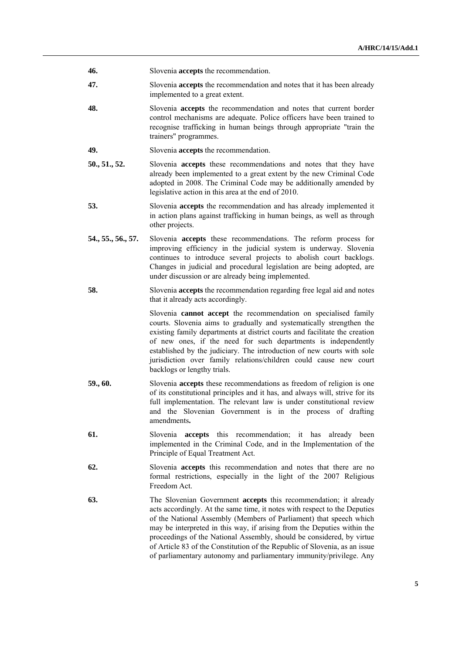- **46.** Slovenia **accepts** the recommendation.
- **47.** Slovenia **accepts** the recommendation and notes that it has been already implemented to a great extent.
- **48.** Slovenia **accepts** the recommendation and notes that current border control mechanisms are adequate. Police officers have been trained to recognise trafficking in human beings through appropriate "train the trainers" programmes.
- **49.** Slovenia **accepts** the recommendation.
- **50., 51., 52.** Slovenia **accepts** these recommendations and notes that they have already been implemented to a great extent by the new Criminal Code adopted in 2008. The Criminal Code may be additionally amended by legislative action in this area at the end of 2010.
- **53.** Slovenia **accepts** the recommendation and has already implemented it in action plans against trafficking in human beings, as well as through other projects.
- **54., 55., 56., 57.** Slovenia **accepts** these recommendations. The reform process for improving efficiency in the judicial system is underway. Slovenia continues to introduce several projects to abolish court backlogs. Changes in judicial and procedural legislation are being adopted, are under discussion or are already being implemented.
- **58.** Slovenia **accepts** the recommendation regarding free legal aid and notes that it already acts accordingly.

 Slovenia **cannot accept** the recommendation on specialised family courts. Slovenia aims to gradually and systematically strengthen the existing family departments at district courts and facilitate the creation of new ones, if the need for such departments is independently established by the judiciary. The introduction of new courts with sole jurisdiction over family relations/children could cause new court backlogs or lengthy trials.

- **59., 60.** Slovenia **accepts** these recommendations as freedom of religion is one of its constitutional principles and it has, and always will, strive for its full implementation. The relevant law is under constitutional review and the Slovenian Government is in the process of drafting amendments**.**
- **61.** Slovenia **accepts** this recommendation; it has already been implemented in the Criminal Code, and in the Implementation of the Principle of Equal Treatment Act.
- **62.** Slovenia **accepts** this recommendation and notes that there are no formal restrictions, especially in the light of the 2007 Religious Freedom Act.
- **63.** The Slovenian Government **accepts** this recommendation; it already acts accordingly. At the same time, it notes with respect to the Deputies of the National Assembly (Members of Parliament) that speech which may be interpreted in this way, if arising from the Deputies within the proceedings of the National Assembly, should be considered, by virtue of Article 83 of the Constitution of the Republic of Slovenia, as an issue of parliamentary autonomy and parliamentary immunity/privilege. Any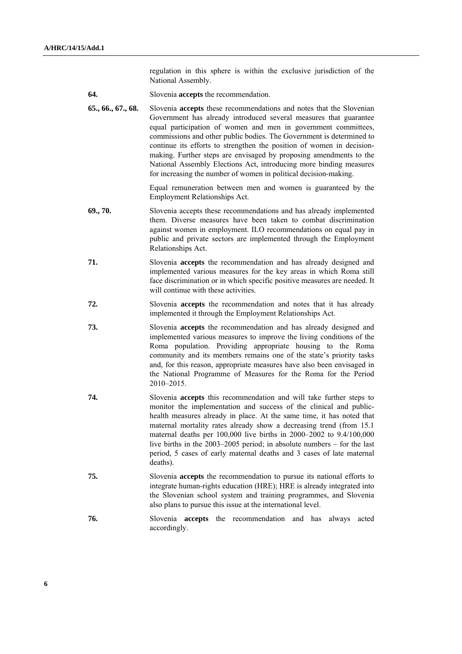regulation in this sphere is within the exclusive jurisdiction of the National Assembly.

- **64.** Slovenia **accepts** the recommendation.
- **65., 66., 67., 68.** Slovenia **accepts** these recommendations and notes that the Slovenian Government has already introduced several measures that guarantee equal participation of women and men in government committees, commissions and other public bodies. The Government is determined to continue its efforts to strengthen the position of women in decisionmaking. Further steps are envisaged by proposing amendments to the National Assembly Elections Act, introducing more binding measures for increasing the number of women in political decision-making.

 Equal remuneration between men and women is guaranteed by the Employment Relationships Act.

- **69., 70.** Slovenia accepts these recommendations and has already implemented them. Diverse measures have been taken to combat discrimination against women in employment. ILO recommendations on equal pay in public and private sectors are implemented through the Employment Relationships Act.
- **71.** Slovenia **accepts** the recommendation and has already designed and implemented various measures for the key areas in which Roma still face discrimination or in which specific positive measures are needed. It will continue with these activities.
- **72.** Slovenia **accepts** the recommendation and notes that it has already implemented it through the Employment Relationships Act.
- **73.** Slovenia **accepts** the recommendation and has already designed and implemented various measures to improve the living conditions of the Roma population. Providing appropriate housing to the Roma community and its members remains one of the state's priority tasks and, for this reason, appropriate measures have also been envisaged in the National Programme of Measures for the Roma for the Period 2010–2015.
- **74.** Slovenia **accepts** this recommendation and will take further steps to monitor the implementation and success of the clinical and publichealth measures already in place. At the same time, it has noted that maternal mortality rates already show a decreasing trend (from 15.1 maternal deaths per 100,000 live births in 2000–2002 to 9.4/100,000 live births in the 2003–2005 period; in absolute numbers – for the last period, 5 cases of early maternal deaths and 3 cases of late maternal deaths).
- **75.** Slovenia **accepts** the recommendation to pursue its national efforts to integrate human-rights education (HRE); HRE is already integrated into the Slovenian school system and training programmes, and Slovenia also plans to pursue this issue at the international level.
- **76.** Slovenia **accepts** the recommendation and has always acted accordingly.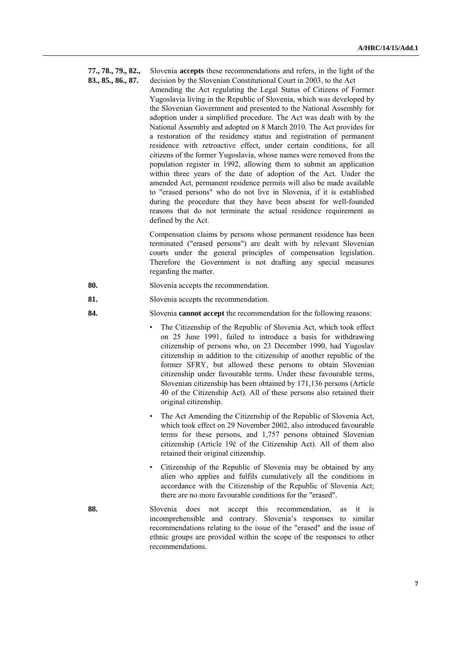- **77., 78., 79., 82.,** Slovenia **accepts** these recommendations and refers, in the light of the
- 

**83., 85., 86., 87.** decision by the Slovenian Constitutional Court in 2003, to the Act Amending the Act regulating the Legal Status of Citizens of Former Yugoslavia living in the Republic of Slovenia, which was developed by the Slovenian Government and presented to the National Assembly for adoption under a simplified procedure. The Act was dealt with by the National Assembly and adopted on 8 March 2010. The Act provides for a restoration of the residency status and registration of permanent residence with retroactive effect, under certain conditions, for all citizens of the former Yugoslavia, whose names were removed from the population register in 1992, allowing them to submit an application within three years of the date of adoption of the Act. Under the amended Act, permanent residence permits will also be made available to "erased persons" who do not live in Slovenia, if it is established during the procedure that they have been absent for well-founded reasons that do not terminate the actual residence requirement as defined by the Act.

> Compensation claims by persons whose permanent residence has been terminated ("erased persons") are dealt with by relevant Slovenian courts under the general principles of compensation legislation. Therefore the Government is not drafting any special measures regarding the matter.

- **80.** Slovenia accepts the recommendation.
- **81.** Slovenia accepts the recommendation.
- **84.** Slovenia **cannot accept** the recommendation for the following reasons:
	- The Citizenship of the Republic of Slovenia Act, which took effect on 25 June 1991, failed to introduce a basis for withdrawing citizenship of persons who, on 23 December 1990, had Yugoslav citizenship in addition to the citizenship of another republic of the former SFRY, but allowed these persons to obtain Slovenian citizenship under favourable terms. Under these favourable terms, Slovenian citizenship has been obtained by 171,136 persons (Article 40 of the Citizenship Act). All of these persons also retained their original citizenship.
	- The Act Amending the Citizenship of the Republic of Slovenia Act, which took effect on 29 November 2002, also introduced favourable terms for these persons, and 1,757 persons obtained Slovenian citizenship (Article 19č of the Citizenship Act). All of them also retained their original citizenship.
	- Citizenship of the Republic of Slovenia may be obtained by any alien who applies and fulfils cumulatively all the conditions in accordance with the Citizenship of the Republic of Slovenia Act; there are no more favourable conditions for the "erased".
- **88.** Slovenia does not accept this recommendation, as it is incomprehensible and contrary. Slovenia's responses to similar recommendations relating to the issue of the "erased" and the issue of ethnic groups are provided within the scope of the responses to other recommendations.